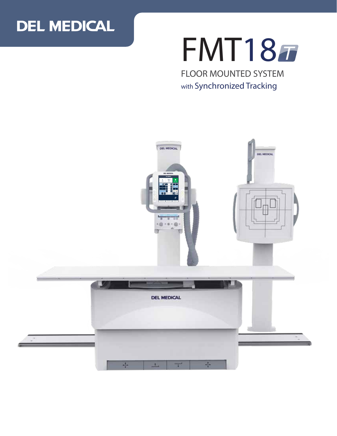### **DEL MEDICAL**

# **FMT18**

with Synchronized Tracking FLOOR MOUNTED SYSTEM

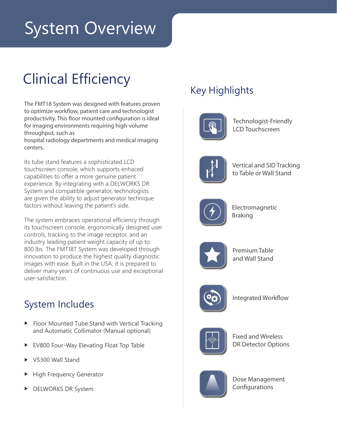# System Overview

# Clinical Efficiency

**The FMT18 System was designed with features proven**  to optimize workflow, patient care and technologist productivity. This floor mounted configuration is ideal **for imaging environments requiring high-volume throughput, such as** 

**hospital radiology departments and medical imaging centers.**

Its tube stand features a sophisticated LCD touchscreen console, which supports enhaced capabilities to offer a more genuine patient experience. By integrating with a DELWORKS DR System and compatible generator, technologists are given the ability to adjust generator technique factors without leaving the patient's side.

The system embraces operational efficiency through its touchscreen console, ergonomically designed user controls, tracking to the image receptor, and an industry leading patient weight capacity of up to 800 lbs. The FMT18T System was developed through innovation to produce the highest quality diagnostic images with ease. Built in the USA, it is prepared to deliver many years of continuous use and exceptional user-satisfaction.

### System Includes

- $\blacktriangleright$  Floor Mounted Tube Stand with Vertical Tracking and Automatic Collimator (Manual optional)
- EV800 Four-Way Elevating Float Top Table  $\blacktriangleright$
- VS300 Wall Stand  $\blacktriangleright$
- High Frequency Generator  $\blacktriangleright$
- DELWORKS DR System  $\blacktriangleright$

### Key Highlights



**Technologist-Friendly LCD Touchscreen** 



**Vertical and SID Tracking to Table or Wall Stand** 



**Electromagnetic Braking**



**Premium Table and Wall Stand**



**Integrated Workflow** 



**Fixed and Wireless DR Detector Options**



**Dose Management Configurations**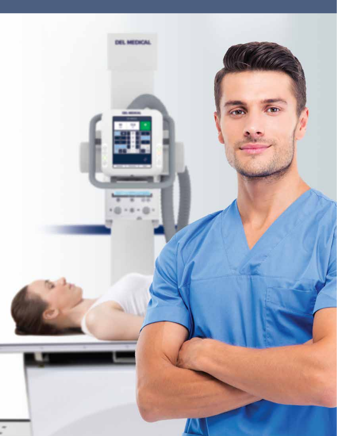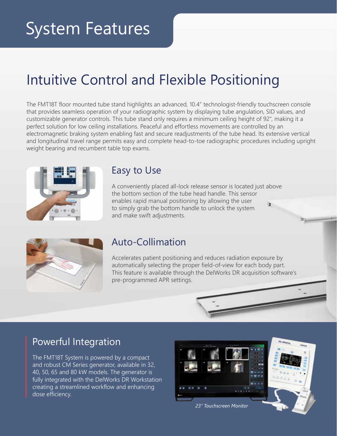# System Features System Features

## Intuitive Control and Flexible Positioning Intuitive Control and Flexible Positioning

The FMT18T floor mounted tube stand highlights an advanced, 10.4" technologist-friendly touchscreen console that provides seamless operation of your radiographic system by displaying tube angulation, SID values, and customizable generator controls. This tube stand only requires a minimum ceiling height of 92", making it a perfect solution for low ceiling installations. Peaceful and effortless movements are controlled by an electromagnetic braking system enabling fast and secure readjustments of the tube head. Its extensive vertical and longitudinal travel range permits easy and complete head-to-toe radiographic procedures including upright weight bearing and recumbent table top exams.



### Easy to Use

A conveniently placed all-lock release sensor is located just above The bottom section of the tube head handle. This sensor is colored to the tube the bottom section of the tube head handle. This sensor enables rapid manual positioning by allowing the user locks release sensor located allocated in the bottom handle. This sensor located in the bottom handle. This sensor located in the bottom handle. This sensor located in the simply grab the bottom handle to unlock the system and the sensor enables rapid positioning by allowing the user to simply grab the bottom handle to unlock the system and make swift adjustments. recommende to difficult the bysicht.



### Auto-Collimation

Accelerates patient positioning and reduces radiation exposure by automatically selecting the proper field-of-view for each body part. This feature is available through the DelWorks DR acquisition software's weak the selection pre-programmed APR settings. This feature is available through the through the through the through the through Auto-Collimation

> DelWorks EDR acquisition software's pre-programmed APR settings.

### Powerful Integration

The FMT18T System is powered by a compact and robust CM Series generator, available in 32, 40, 50, 65 and 80 kW models. The generator is fully integrated with the DelWorks DR Workstation creating a streamlined workflow and enhancing dose efficiency.

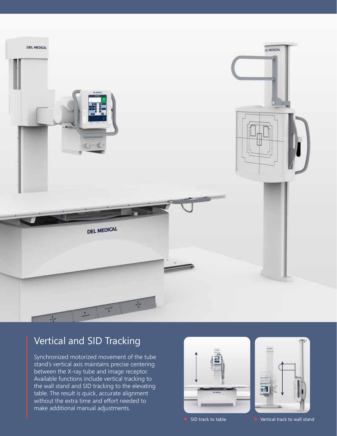

### Vertical and SID Tracking

Synchronized motorized movement of the tube stand's vertical axis maintains precise centering between the X-ray tube and image receptor. Available functions include vertical tracking to the wall stand and SID tracking to the elevating table. The result is quick, accurate alignment without the extra time and effort needed to make additional manual adjustments.





SID track to table **EXECUTE:** Vertical track to wall stand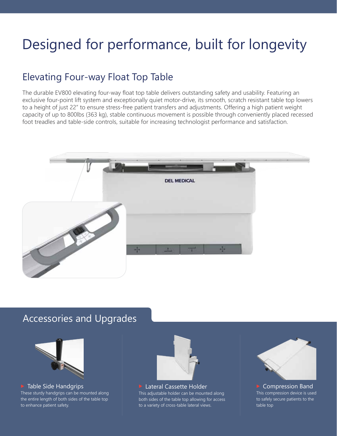### Designed for performance, built for longevity

### Elevating Four-way Float Top Table

The durable EV800 elevating four-way float top table delivers outstanding safety and usability. Featuring an exclusive four-point lift system and exceptionally quiet motor-drive, its smooth, scratch resistant table top lowers to a height of just 22" to ensure stress-free patient transfers and adjustments. Offering a high patient weight capacity of up to 800lbs (363 kg), stable continuous movement is possible through conveniently placed recessed foot treadles and table-side controls, suitable for increasing technologist performance and satisfaction.



### Accessories and Upgrades



 $\blacktriangleright$  Table Side Handgrips These sturdy handgrips can be mounted along the entire length of both sides of the table top to enhance patient safety. Lateral Cassette Holder



This adjustable holder can be mounted along both sides of the table top allowing for access to a variety of cross-table lateral views.



Compression Band This compression device is used to safely secure patients to the table top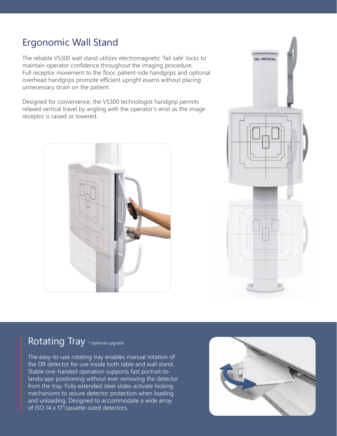### Ergonomic Wall Stand

The reliable VS300 wall stand utilizes electromagnetic 'fail safe' locks to maintain operator confidence throughout the imaging procedure. Full receptor movement to the floor, patient-side handgrips and optional overhead handgrips promote efficient upright exams without placing unnecessary strain on the patient.

Designed for convenience, the VS300 technologist handgrip permits relaxed vertical travel by angling with the operator's wrist as the image receptor is raised or lowered.





### Rotating Tray \* optional upgrade

The easy-to-use rotating tray enables manual rotation of the DR detector for use inside both table and wall stand. Stable one-handed operation supports fast portrait-tolandscape positioning without ever removing the detector from the tray. Fully extended steel slides activate locking mechanisms to assure detector protection when loading and unloading. Designed to accommodate a wide array of ISO 14 x 17"cassette-sized detectors.

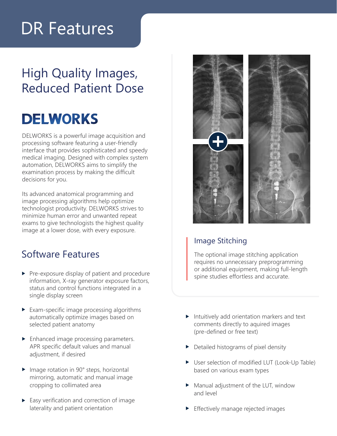# DR Features

### High Quality Images, Reduced Patient Dose

### **DELWORKS**

DELWORKS is a powerful image acquisition and processing software featuring a user-friendly interface that provides sophisticated and speedy medical imaging. Designed with complex system automation, DELWORKS aims to simplify the examination process by making the difficult decisions for you.

Its advanced anatomical programming and image processing algorithms help optimize technologist productivity. DELWORKS strives to minimize human error and unwanted repeat exams to give technologists the highest quality image at a lower dose, with every exposure.

### Software Features

- $\blacktriangleright$  Pre-exposure display of patient and procedure information, X-ray generator exposure factors, status and control functions integrated in a single display screen
- Exam-specific image processing algorithms automatically optimize images based on selected patient anatomy
- ▶ Enhanced image processing parameters. APR specific default values and manual adjustment, if desired
- ▶ Image rotation in 90° steps, horizontal mirroring, automatic and manual image cropping to collimated area
- Easy verification and correction of image laterality and patient orientation



### Image Stitching

The optional image stitching application requires no unnecessary preprogramming or additional equipment, making full-length spine studies effortless and accurate.

- Intuitively add orientation markers and text comments directly to aquired images (pre-defined or free text)
- ▶ Detailed histograms of pixel density
- ▶ User selection of modified LUT (Look-Up Table) based on various exam types
- Manual adjustment of the LUT, window and level
- **Effectively manage rejected images**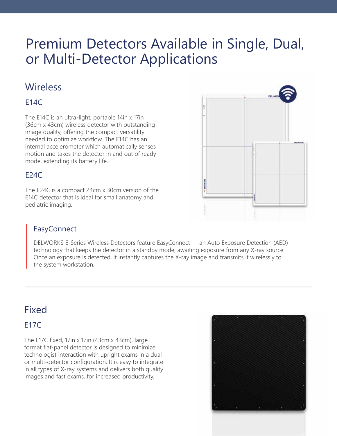### Premium Detectors Available in Single, Dual, or Multi-Detector Applications

### **Wireless**

### $F14C$

The E14C is an ultra-light, portable 14in x 17in (36cm x 43cm) wireless detector with outstanding image quality, offering the compact versatility needed to optimize workflow. The E14C has an internal accelerometer which automatically senses motion and takes the detector in and out of ready mode, extending its battery life.

#### $F<sub>24C</sub>$

The E24C is a compact 24cm x 30cm version of the E14C detector that is ideal for small anatomy and pediatric imaging.



### **EasyConnect**

DELWORKS E-Series Wireless Detectors feature EasyConnect — an Auto Exposure Detection (AED) technology that keeps the detector in a standby mode, awaiting exposure from any X-ray source. Once an exposure is detected, it instantly captures the X-ray image and transmits it wirelessly to the system workstation.

### Fixed

### E17C

The E17C fixed, 17in x 17in (43cm x 43cm), large format flat-panel detector is designed to minimize technologist interaction with upright exams in a dual or multi-detector configuration. It is easy to integrate in all types of X-ray systems and delivers both quality images and fast exams, for increased productivity.